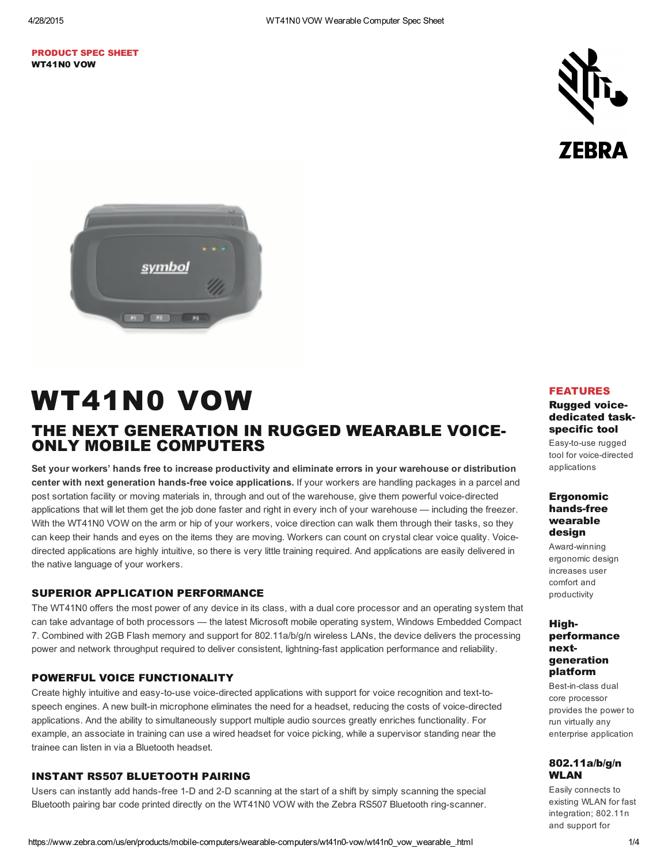## PRODUCT SPEC SHEET WT41N0 VOW





# WT41N0 VOW THE NEXT GENERATION IN RUGGED WEARABLE VOICE-ONLY MOBILE COMPUTERS

Set your workers' hands free to increase productivity and eliminate errors in your warehouse or distribution center with next generation hands-free voice applications. If your workers are handling packages in a parcel and post sortation facility or moving materials in, through and out of the warehouse, give them powerful voice-directed applications that will let them get the job done faster and right in every inch of your warehouse — including the freezer. With the WT41N0 VOW on the arm or hip of your workers, voice direction can walk them through their tasks, so they can keep their hands and eyes on the items they are moving. Workers can count on crystal clear voice quality. Voicedirected applications are highly intuitive, so there is very little training required. And applications are easily delivered in the native language of your workers.

## SUPERIOR APPLICATION PERFORMANCE

The WT41N0 offers the most power of any device in its class, with a dual core processor and an operating system that can take advantage of both processors — the latest Microsoft mobile operating system, Windows Embedded Compact 7. Combined with 2GB Flash memory and support for 802.11a/b/g/n wireless LANs, the device delivers the processing power and network throughput required to deliver consistent, lightning-fast application performance and reliability.

## POWERFUL VOICE FUNCTIONALITY

Create highly intuitive and easy-to-use voice-directed applications with support for voice recognition and text-tospeech engines. A new built-in microphone eliminates the need for a headset, reducing the costs of voice-directed applications. And the ability to simultaneously support multiple audio sources greatly enriches functionality. For example, an associate in training can use a wired headset for voice picking, while a supervisor standing near the trainee can listen in via a Bluetooth headset.

## INSTANT RS507 BLUETOOTH PAIRING

Users can instantly add hands-free 1-D and 2-D scanning at the start of a shift by simply scanning the special Bluetooth pairing bar code printed directly on the WT41N0 VOW with the Zebra RS507 Bluetooth ring-scanner.

### FEATURES

## Rugged voicededicated taskspecific tool

Easy-to-use rugged tool for voice-directed applications

## Ergonomic hands-free wearable design

Award-winning ergonomic design increases user comfort and productivity

## Highperformance nextgeneration platform

Best-in-class dual core processor provides the power to run virtually any enterprise application

## 802.11a/b/g/n WLAN

Easily connects to existing WLAN for fast integration; 802.11n and support for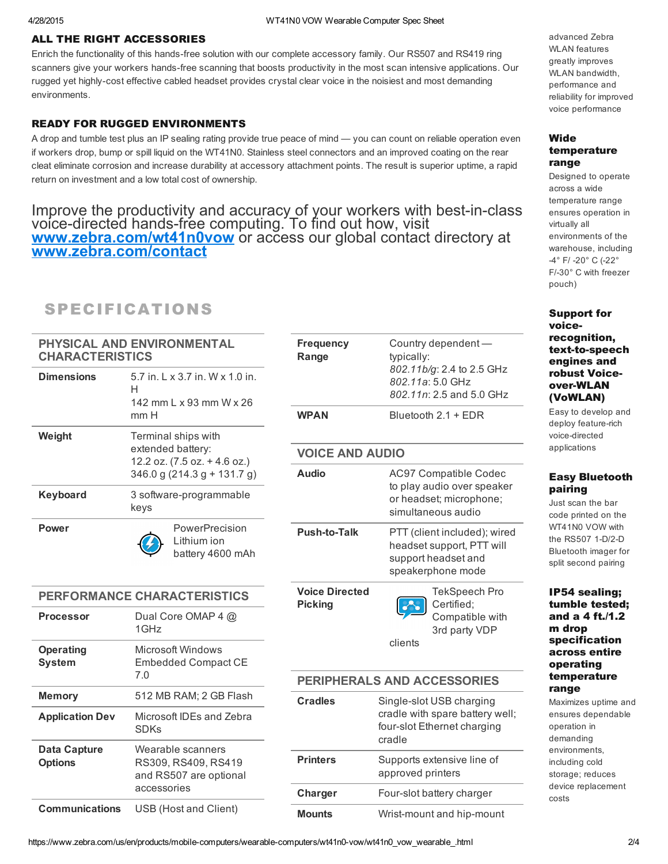## ALL THE RIGHT ACCESSORIES

Enrich the functionality of this hands-free solution with our complete accessory family. Our RS507 and RS419 ring scanners give your workers hands-free scanning that boosts productivity in the most scan intensive applications. Our rugged yet highly-cost effective cabled headset provides crystal clear voice in the noisiest and most demanding environments.

## READY FOR RUGGED ENVIRONMENTS

A drop and tumble test plus an IP sealing rating provide true peace of mind — you can count on reliable operation even if workers drop, bump or spill liquid on the WT41N0. Stainless steel connectors and an improved coating on the rear cleat eliminate corrosion and increase durability at accessory attachment points. The result is superior uptime, a rapid return on investment and a low total cost of ownership.

Improve the productivity and accuracy of your workers with best-in-class voice-directed hands-free computing. To find out how, visit [www.zebra.com/wt41n0vow](https://www.zebra.com/wt41n0vow) or access our global contact directory at [www.zebra.com/contact](https://www.zebra.com/contact)

## SPECIFICATIONS

| PHYSICAL AND ENVIRONMENTAL<br><b>CHARACTERISTICS</b> |                                                                                                         | <b>Frequency</b><br>Range               | Country dependent -<br>typically:                                                                     |  |
|------------------------------------------------------|---------------------------------------------------------------------------------------------------------|-----------------------------------------|-------------------------------------------------------------------------------------------------------|--|
| <b>Dimensions</b>                                    | 5.7 in. L x 3.7 in. W x 1.0 in.<br>н<br>142 mm L x 93 mm W x 26<br>mm H                                 |                                         | 802.11b/g: 2.4 to 2.5 GHz<br>802.11a: 5.0 GHz<br>802.11n: 2.5 and 5.0 GHz                             |  |
|                                                      |                                                                                                         | <b>WPAN</b>                             | Bluetooth 2.1 + EDR                                                                                   |  |
| Weight                                               | Terminal ships with<br>extended battery:<br>12.2 oz. (7.5 oz. + 4.6 oz.)<br>346.0 g (214.3 g + 131.7 g) |                                         |                                                                                                       |  |
|                                                      |                                                                                                         | <b>VOICE AND AUDIO</b>                  |                                                                                                       |  |
|                                                      |                                                                                                         | <b>Audio</b>                            | AC97 Compatible Codec                                                                                 |  |
| Keyboard                                             | 3 software-programmable<br>keys                                                                         |                                         | to play audio over speaker<br>or headset; microphone;<br>simultaneous audio                           |  |
| Power                                                | PowerPrecision<br>Lithium ion<br>battery 4600 mAh                                                       | <b>Push-to-Talk</b>                     | PTT (client included); wired<br>headset support, PTT will<br>support headset and<br>speakerphone mode |  |
| PERFORMANCE CHARACTERISTICS                          |                                                                                                         | <b>Voice Directed</b><br><b>Picking</b> | <b>TekSpeech Pro</b><br>Certified:                                                                    |  |
| <b>Processor</b>                                     | Dual Core OMAP 4 @<br>1GHz                                                                              |                                         | Compatible with<br>3rd party VDP                                                                      |  |
| <b>Operating</b><br><b>System</b>                    | <b>Microsoft Windows</b><br><b>Embedded Compact CE</b>                                                  |                                         | clients                                                                                               |  |
| 7.0                                                  |                                                                                                         | <b>PERIPHERALS AND ACCESSORIES</b>      |                                                                                                       |  |
| <b>Memory</b>                                        | 512 MB RAM; 2 GB Flash                                                                                  | <b>Cradles</b>                          | Single-slot USB charging                                                                              |  |
| <b>Application Dev</b>                               | Microsoft IDEs and Zebra<br><b>SDKs</b>                                                                 |                                         | cradle with spare battery well;<br>four-slot Ethernet charging<br>cradle                              |  |
| <b>Data Capture</b><br><b>Options</b>                | Wearable scanners<br>RS309, RS409, RS419<br>and RS507 are optional                                      | <b>Printers</b>                         | Supports extensive line of<br>approved printers                                                       |  |
|                                                      | accessories                                                                                             | Charger                                 | Four-slot battery charger                                                                             |  |
| <b>Communications</b>                                | USB (Host and Client)                                                                                   | <b>Mounts</b>                           | Wrist-mount and hip-mount                                                                             |  |
|                                                      |                                                                                                         |                                         |                                                                                                       |  |

advanced Zebra WLAN features greatly improves WLAN bandwidth, performance and reliability for improved voice performance

## Wide temperature range

Designed to operate across a wide temperature range ensures operation in virtually all environments of the warehouse, including 4° F/ 20° C (22° F/30° C with freezer pouch)

Support for voicerecognition, text-to-speech engines and robust Voiceover-WLAN (VoWLAN)

Easy to develop and deploy feature-rich voice-directed applications

## Easy Bluetooth pairing

Just scan the bar code printed on the WT41N0 VOW with the RS507 1-D/2-D Bluetooth imager for split second pairing

## IP54 sealing; tumble tested; and a 4 ft./1.2 m drop specification across entire operating temperature range

Maximizes uptime and ensures dependable operation in demanding environments, including cold storage; reduces device replacement costs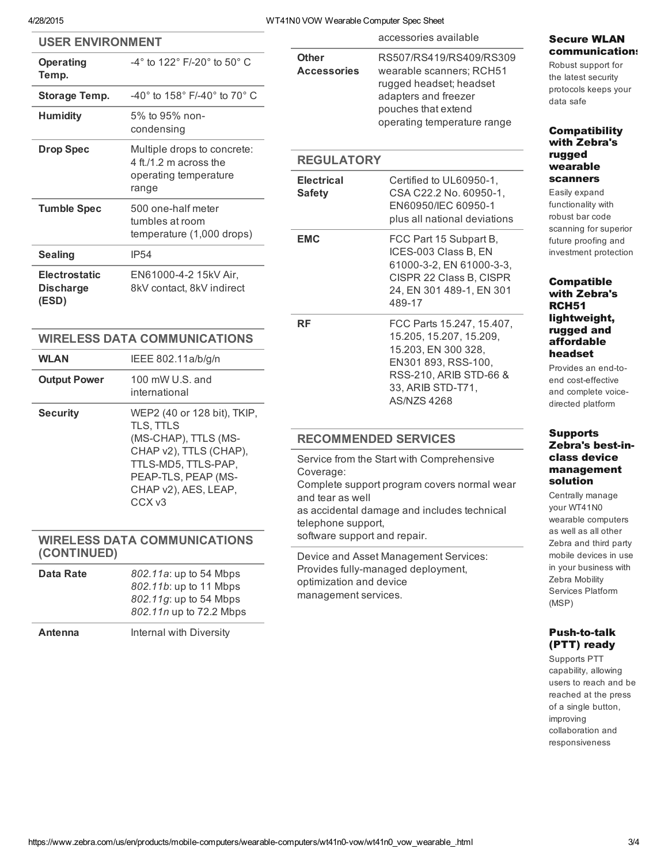## 4/28/2015 WT41N0 VOW Wearable Computer Spec Sheet

| <b>USER ENVIRONMENT</b>                            |                                                                                                                                                                                       |                                                                                                                                                                                                | accessories available                                                                                                                       |
|----------------------------------------------------|---------------------------------------------------------------------------------------------------------------------------------------------------------------------------------------|------------------------------------------------------------------------------------------------------------------------------------------------------------------------------------------------|---------------------------------------------------------------------------------------------------------------------------------------------|
| <b>Operating</b><br>Temp.                          | -4° to 122° F/-20° to 50° C                                                                                                                                                           | <b>Other</b><br><b>Accessories</b><br>rugged headset; headset<br>adapters and freezer<br>pouches that extend                                                                                   | RS507/RS419/RS409/RS309<br>wearable scanners; RCH51                                                                                         |
| <b>Storage Temp.</b>                               | -40° to 158° F/-40° to 70° C                                                                                                                                                          |                                                                                                                                                                                                |                                                                                                                                             |
| <b>Humidity</b>                                    | 5% to 95% non-<br>condensing                                                                                                                                                          |                                                                                                                                                                                                | operating temperature range                                                                                                                 |
| <b>Drop Spec</b>                                   | Multiple drops to concrete:<br>4 ft./1.2 m across the<br>operating temperature<br>range                                                                                               | <b>REGULATORY</b>                                                                                                                                                                              |                                                                                                                                             |
|                                                    |                                                                                                                                                                                       | <b>Electrical</b><br><b>Safety</b>                                                                                                                                                             | Certified to UL60950-1,<br>CSA C22.2 No. 60950-1,                                                                                           |
| <b>Tumble Spec</b>                                 | 500 one-half meter<br>tumbles at room                                                                                                                                                 |                                                                                                                                                                                                | EN60950/IEC 60950-1<br>plus all national deviations                                                                                         |
| <b>Sealing</b>                                     | temperature (1,000 drops)<br><b>IP54</b>                                                                                                                                              | <b>EMC</b>                                                                                                                                                                                     | FCC Part 15 Subpart B,<br>ICES-003 Class B, EN<br>61000-3-2, EN 61000-3-3,<br>CISPR 22 Class B, CISPR<br>24, EN 301 489-1, EN 301<br>489-17 |
| <b>Electrostatic</b><br><b>Discharge</b><br>(ESD)  | EN61000-4-2 15kV Air,<br>8kV contact, 8kV indirect                                                                                                                                    |                                                                                                                                                                                                |                                                                                                                                             |
| <b>WIRELESS DATA COMMUNICATIONS</b>                |                                                                                                                                                                                       | <b>RF</b>                                                                                                                                                                                      | FCC Parts 15.247, 15.407,<br>15.205, 15.207, 15.209,                                                                                        |
| <b>WLAN</b>                                        | IEEE 802.11a/b/g/n                                                                                                                                                                    | 15.203, EN 300 328,<br>EN301 893, RSS-100,                                                                                                                                                     |                                                                                                                                             |
| <b>Output Power</b>                                | 100 mW U.S. and<br>international                                                                                                                                                      | RSS-210, ARIB STD-66 &<br>33, ARIB STD-T71,<br><b>AS/NZS 4268</b>                                                                                                                              |                                                                                                                                             |
| <b>Security</b>                                    | WEP2 (40 or 128 bit), TKIP,<br>TLS, TTLS<br>(MS-CHAP), TTLS (MS-<br>CHAP v2), TTLS (CHAP),<br>TTLS-MD5, TTLS-PAP,<br>PEAP-TLS, PEAP (MS-<br>CHAP v2), AES, LEAP,<br>CCX <sub>v3</sub> |                                                                                                                                                                                                |                                                                                                                                             |
|                                                    |                                                                                                                                                                                       | <b>RECOMMENDED SERVICES</b>                                                                                                                                                                    |                                                                                                                                             |
|                                                    |                                                                                                                                                                                       | Service from the Start with Comprehensive<br>Coverage:<br>Complete support program covers normal wear<br>and tear as well<br>as accidental damage and includes technical<br>telephone support, |                                                                                                                                             |
| <b>WIRELESS DATA COMMUNICATIONS</b><br>(CONTINUED) |                                                                                                                                                                                       | software support and repair.                                                                                                                                                                   | Device and Asset Management Services:                                                                                                       |
| <b>Data Rate</b>                                   | 802.11a: up to 54 Mbps<br>802.11b: up to 11 Mbps<br>802.11g: up to 54 Mbps<br>802.11n up to 72.2 Mbps                                                                                 | Provides fully-managed deployment,<br>optimization and device<br>management services.                                                                                                          |                                                                                                                                             |
| <b>Antenna</b>                                     | Internal with Diversity                                                                                                                                                               |                                                                                                                                                                                                |                                                                                                                                             |

| Secure WLAN |                |
|-------------|----------------|
|             | communication: |

Robust support for the latest security protocols keeps your data safe

## **Compatibility** with Zebra's rugged wearable scanners

Easily expand functionality with robust bar code scanning for superior future proofing and investment protection

## Compatible with Zebra's RCH51 lightweight, rugged and affordable headset

Provides an end-toend cost-effective and complete voicedirected platform

## Supports Zebra's best-inclass device management solution

Centrally manage your WT41N0 wearable computers as well as all other Zebra and third party mobile devices in use in your business with Zebra Mobility Services Platform (MSP)

## **Push-to-talk** (PTT) ready

Supports PTT capability, allowing users to reach and be reached at the press of a single button, improving collaboration and responsiveness